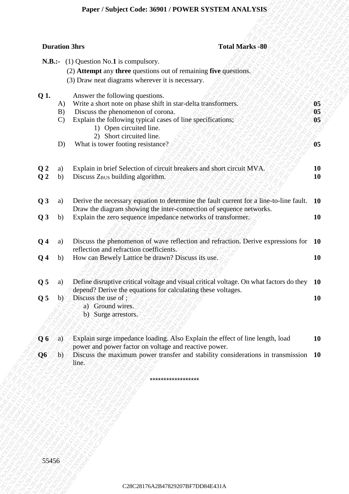# **Paper / Subject Code: 36901 / POWER SYSTEM ANALYSIS**

| <b>Duration 3hrs</b><br><b>Total Marks -80</b><br><b>N.B.:-</b> (1) Question No.1 is compulsory.<br>(2) Attempt any three questions out of remaining five questions.<br>(3) Draw neat diagrams wherever it is necessary.<br>Q 1.<br>Answer the following questions.<br>05 <sub>1</sub><br>Write a short note on phase shift in star-delta transformers.<br>A)<br>Discuss the phenomenon of corona.<br>$05\,$<br>B)<br>Explain the following typical cases of line specifications;<br>05<br>$\mathbf{C}$<br>1) Open circuited line.<br>2) Short circuited line.<br>What is tower footing resistance?<br>05<br>D)<br>Explain in brief Selection of circuit breakers and short circuit MVA.<br>Q <sub>2</sub><br>10<br>a)<br>Discuss Z <sub>BUS</sub> building algorithm.<br>Q <sub>2</sub><br><b>10</b><br>b)<br>Q3<br>Derive the necessary equation to determine the fault current for a line-to-line fault.<br><b>10</b><br>a)<br>Draw the diagram showing the inter-connection of sequence networks.<br>Explain the zero sequence impedance networks of transformer.<br>Q3<br><b>10</b><br>b)<br>Discuss the phenomenon of wave reflection and refraction. Derive expressions for 10<br>Q <sub>4</sub><br>a)<br>reflection and refraction coefficients.<br>How can Bewely Lattice be drawn? Discuss its use.<br>Q <sub>4</sub><br>b)<br>10<br>Q <sub>5</sub><br>Define disruptive critical voltage and visual critical voltage. On what factors do they 10<br>a)<br>depend? Derive the equations for calculating these voltages.<br>Q <sub>5</sub><br>Discuss the use of;<br>10<br>b)<br>a) Ground wires.<br>b) Surge arrestors.<br>Explain surge impedance loading. Also Explain the effect of line length, load<br>Q6<br>10<br>a)<br>power and power factor on voltage and reactive power.<br>Discuss the maximum power transfer and stability considerations in transmission 10<br>b)<br>Q6<br>line.<br>****************** |       |  |  |
|--------------------------------------------------------------------------------------------------------------------------------------------------------------------------------------------------------------------------------------------------------------------------------------------------------------------------------------------------------------------------------------------------------------------------------------------------------------------------------------------------------------------------------------------------------------------------------------------------------------------------------------------------------------------------------------------------------------------------------------------------------------------------------------------------------------------------------------------------------------------------------------------------------------------------------------------------------------------------------------------------------------------------------------------------------------------------------------------------------------------------------------------------------------------------------------------------------------------------------------------------------------------------------------------------------------------------------------------------------------------------------------------------------------------------------------------------------------------------------------------------------------------------------------------------------------------------------------------------------------------------------------------------------------------------------------------------------------------------------------------------------------------------------------------------------------------------------------------------------------------------------------------------------------------------------|-------|--|--|
|                                                                                                                                                                                                                                                                                                                                                                                                                                                                                                                                                                                                                                                                                                                                                                                                                                                                                                                                                                                                                                                                                                                                                                                                                                                                                                                                                                                                                                                                                                                                                                                                                                                                                                                                                                                                                                                                                                                                |       |  |  |
|                                                                                                                                                                                                                                                                                                                                                                                                                                                                                                                                                                                                                                                                                                                                                                                                                                                                                                                                                                                                                                                                                                                                                                                                                                                                                                                                                                                                                                                                                                                                                                                                                                                                                                                                                                                                                                                                                                                                |       |  |  |
|                                                                                                                                                                                                                                                                                                                                                                                                                                                                                                                                                                                                                                                                                                                                                                                                                                                                                                                                                                                                                                                                                                                                                                                                                                                                                                                                                                                                                                                                                                                                                                                                                                                                                                                                                                                                                                                                                                                                |       |  |  |
|                                                                                                                                                                                                                                                                                                                                                                                                                                                                                                                                                                                                                                                                                                                                                                                                                                                                                                                                                                                                                                                                                                                                                                                                                                                                                                                                                                                                                                                                                                                                                                                                                                                                                                                                                                                                                                                                                                                                |       |  |  |
|                                                                                                                                                                                                                                                                                                                                                                                                                                                                                                                                                                                                                                                                                                                                                                                                                                                                                                                                                                                                                                                                                                                                                                                                                                                                                                                                                                                                                                                                                                                                                                                                                                                                                                                                                                                                                                                                                                                                |       |  |  |
|                                                                                                                                                                                                                                                                                                                                                                                                                                                                                                                                                                                                                                                                                                                                                                                                                                                                                                                                                                                                                                                                                                                                                                                                                                                                                                                                                                                                                                                                                                                                                                                                                                                                                                                                                                                                                                                                                                                                |       |  |  |
|                                                                                                                                                                                                                                                                                                                                                                                                                                                                                                                                                                                                                                                                                                                                                                                                                                                                                                                                                                                                                                                                                                                                                                                                                                                                                                                                                                                                                                                                                                                                                                                                                                                                                                                                                                                                                                                                                                                                |       |  |  |
|                                                                                                                                                                                                                                                                                                                                                                                                                                                                                                                                                                                                                                                                                                                                                                                                                                                                                                                                                                                                                                                                                                                                                                                                                                                                                                                                                                                                                                                                                                                                                                                                                                                                                                                                                                                                                                                                                                                                |       |  |  |
|                                                                                                                                                                                                                                                                                                                                                                                                                                                                                                                                                                                                                                                                                                                                                                                                                                                                                                                                                                                                                                                                                                                                                                                                                                                                                                                                                                                                                                                                                                                                                                                                                                                                                                                                                                                                                                                                                                                                |       |  |  |
|                                                                                                                                                                                                                                                                                                                                                                                                                                                                                                                                                                                                                                                                                                                                                                                                                                                                                                                                                                                                                                                                                                                                                                                                                                                                                                                                                                                                                                                                                                                                                                                                                                                                                                                                                                                                                                                                                                                                |       |  |  |
|                                                                                                                                                                                                                                                                                                                                                                                                                                                                                                                                                                                                                                                                                                                                                                                                                                                                                                                                                                                                                                                                                                                                                                                                                                                                                                                                                                                                                                                                                                                                                                                                                                                                                                                                                                                                                                                                                                                                |       |  |  |
|                                                                                                                                                                                                                                                                                                                                                                                                                                                                                                                                                                                                                                                                                                                                                                                                                                                                                                                                                                                                                                                                                                                                                                                                                                                                                                                                                                                                                                                                                                                                                                                                                                                                                                                                                                                                                                                                                                                                |       |  |  |
|                                                                                                                                                                                                                                                                                                                                                                                                                                                                                                                                                                                                                                                                                                                                                                                                                                                                                                                                                                                                                                                                                                                                                                                                                                                                                                                                                                                                                                                                                                                                                                                                                                                                                                                                                                                                                                                                                                                                |       |  |  |
|                                                                                                                                                                                                                                                                                                                                                                                                                                                                                                                                                                                                                                                                                                                                                                                                                                                                                                                                                                                                                                                                                                                                                                                                                                                                                                                                                                                                                                                                                                                                                                                                                                                                                                                                                                                                                                                                                                                                |       |  |  |
|                                                                                                                                                                                                                                                                                                                                                                                                                                                                                                                                                                                                                                                                                                                                                                                                                                                                                                                                                                                                                                                                                                                                                                                                                                                                                                                                                                                                                                                                                                                                                                                                                                                                                                                                                                                                                                                                                                                                | 55456 |  |  |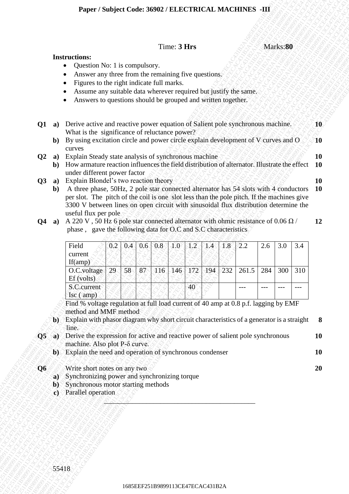### Time: **3 Hrs** Marks:**80**

#### **Instructions:**

- Question No: 1 is compulsory.
- Answer any three from the remaining five questions.
- Figures to the right indicate full marks.
- Assume any suitable data wherever required but justify the same.
- Answers to questions should be grouped and written together.

|                          |                                |                                                                                                                                                                                    |               |     |                  |                                  | Time: 3 Hrs |               |     |     |       |     | Marks:80 |       |                        |
|--------------------------|--------------------------------|------------------------------------------------------------------------------------------------------------------------------------------------------------------------------------|---------------|-----|------------------|----------------------------------|-------------|---------------|-----|-----|-------|-----|----------|-------|------------------------|
|                          |                                | <b>Instructions:</b><br>Question No: 1 is compulsory.                                                                                                                              |               |     |                  |                                  |             |               |     |     |       |     |          |       |                        |
|                          |                                | Answer any three from the remaining five questions.                                                                                                                                |               |     |                  |                                  |             |               |     |     |       |     |          |       |                        |
|                          |                                | Figures to the right indicate full marks.<br>Assume any suitable data wherever required but justify the same.                                                                      |               |     |                  |                                  |             |               |     |     |       |     |          |       |                        |
|                          |                                | Answers to questions should be grouped and written together.                                                                                                                       |               |     |                  |                                  |             |               |     |     |       |     |          |       |                        |
| $Q1$ a)                  |                                | Derive active and reactive power equation of Salient pole synchronous machine.                                                                                                     |               |     |                  |                                  |             |               |     |     |       |     |          |       | $10^\circ$             |
|                          |                                | What is the significance of reluctance power?                                                                                                                                      |               |     |                  |                                  |             |               |     |     |       |     |          |       |                        |
|                          | $\mathbf{b}$                   | By using excitation circle and power circle explain development of V curves and O<br>curves                                                                                        |               |     |                  |                                  |             |               |     |     |       |     |          |       | $\mathbf{10}$          |
| $\mathbf{Q}$             | a)                             | Explain Steady state analysis of synchronous machine                                                                                                                               |               |     |                  |                                  |             |               |     |     |       |     |          |       | <b>10</b><br><b>10</b> |
|                          | $\mathbf{b}$                   | How armature reaction influences the field distribution of alternator. Illustrate the effect<br>under different power factor                                                       |               |     |                  |                                  |             |               |     |     |       |     |          |       |                        |
| $\overline{Q}3$          | a)                             | Explain Blondel's two reaction theory                                                                                                                                              |               |     |                  |                                  |             |               |     |     |       |     |          |       | <b>10</b>              |
|                          | b)                             | A three phase, 50Hz, 2 pole star connected alternator has 54 slots with 4 conductors<br>per slot. The pitch of the coil is one slot less than the pole pitch. If the machines give |               |     |                  |                                  |             |               |     |     |       |     |          |       | <b>10</b>              |
|                          |                                | 3300 V between lines on open circuit with sinusoidal flux distribution determine the                                                                                               |               |     |                  |                                  |             |               |     |     |       |     |          |       |                        |
| Q4                       |                                | useful flux per pole<br>a) A 220 V, 50 Hz 6 pole star connected alternator with ohmic resistance of 0.06 $\Omega$ /                                                                |               |     |                  |                                  |             |               |     |     |       |     |          |       | 12                     |
|                          |                                | phase, gave the following data for O.C and S.C characteristics                                                                                                                     |               |     |                  |                                  |             |               |     |     |       |     |          |       |                        |
|                          |                                | Field                                                                                                                                                                              | $0.2^{\circ}$ | 0.4 | 0.6 <sub>1</sub> | 0.8                              | $1.0^\circ$ | $1\mathbf{2}$ | X4  | 1.8 | 2.2   | 2.6 | 3.0      | 3.4   |                        |
|                          |                                | current                                                                                                                                                                            |               |     |                  |                                  |             |               |     |     |       |     |          |       |                        |
|                          |                                | If(am)<br>O.C.voltage                                                                                                                                                              | 29.           | 58  | 87               | 116                              | 146         | 172           | 194 | 232 | 261.5 | 284 | 300      | 310   |                        |
|                          |                                | Ef (volts)                                                                                                                                                                         |               |     |                  |                                  |             |               |     |     |       |     |          |       |                        |
|                          |                                | S.C.current<br>$\text{Isc}(amp)$                                                                                                                                                   |               |     |                  |                                  |             | 40            |     |     |       |     |          | $---$ |                        |
|                          |                                | Find % voltage regulation at full load current of 40 amp at 0.8 p.f. lagging by EMF                                                                                                |               |     |                  |                                  |             |               |     |     |       |     |          |       |                        |
|                          |                                | method and MMF method<br>Explain with phasor diagram why short circuit characteristics of a generator is a straight                                                                |               |     |                  |                                  |             |               |     |     |       |     |          |       | 8                      |
|                          | $\mathbf{b}$                   | line.                                                                                                                                                                              |               |     |                  |                                  |             |               |     |     |       |     |          |       |                        |
| $\overline{\mathbf{Q5}}$ | $\langle a \rangle$            | Derive the expression for active and reactive power of salient pole synchronous                                                                                                    |               |     |                  |                                  |             |               |     |     |       |     |          |       | <b>10</b>              |
|                          | ЪX                             | machine. Also plot P-8 curve.<br>Explain the need and operation of synchronous condenser                                                                                           |               |     |                  |                                  |             |               |     |     |       |     |          |       | <b>10</b>              |
|                          |                                |                                                                                                                                                                                    |               |     |                  |                                  |             |               |     |     |       |     |          |       |                        |
| Q <sub>6</sub>           | a)                             | Write short notes on any two<br>Synchronizing power and synchronizing torque                                                                                                       |               |     |                  |                                  |             |               |     |     |       |     |          |       | 20                     |
|                          | b)                             | Synchronous motor starting methods                                                                                                                                                 |               |     |                  |                                  |             |               |     |     |       |     |          |       |                        |
|                          | Parallel operation<br>$\bf c)$ |                                                                                                                                                                                    |               |     |                  |                                  |             |               |     |     |       |     |          |       |                        |
|                          |                                |                                                                                                                                                                                    |               |     |                  |                                  |             |               |     |     |       |     |          |       |                        |
|                          |                                |                                                                                                                                                                                    |               |     |                  |                                  |             |               |     |     |       |     |          |       |                        |
|                          |                                |                                                                                                                                                                                    |               |     |                  |                                  |             |               |     |     |       |     |          |       |                        |
|                          |                                |                                                                                                                                                                                    |               |     |                  |                                  |             |               |     |     |       |     |          |       |                        |
|                          |                                |                                                                                                                                                                                    |               |     |                  |                                  |             |               |     |     |       |     |          |       |                        |
|                          |                                |                                                                                                                                                                                    |               |     |                  |                                  |             |               |     |     |       |     |          |       |                        |
|                          | 55418                          |                                                                                                                                                                                    |               |     |                  |                                  |             |               |     |     |       |     |          |       |                        |
|                          |                                |                                                                                                                                                                                    |               |     |                  | 1685EEF251B9899113CE47ECAC431B2A |             |               |     |     |       |     |          |       |                        |

- per slot. The pitch of the coil is one slot less than the pole pitch. If the machines give 3300 V between lines on open circuit with sinusoidal flux distribution determine the useful flux per pole
- **Q4 a**) A 220 V, 50 Hz 6 pole star connected alternator with ohmic resistance of 0.06  $\Omega$  / phase , gave the following data for O.C and S.C characteristics **12**

| Field                                           |    |  |  | $0.2 \mid 0.4 \mid 0.6 \mid 0.8 \mid 1.0 \mid 1.2 \mid 1.4 \mid 1.8$ |  | >2.2                                                      | 2.6 | 3.0 | 3.4 |
|-------------------------------------------------|----|--|--|----------------------------------------------------------------------|--|-----------------------------------------------------------|-----|-----|-----|
| current                                         |    |  |  |                                                                      |  |                                                           |     |     |     |
| If(amp)                                         |    |  |  |                                                                      |  |                                                           |     |     |     |
| O.C.voltage                                     | 29 |  |  |                                                                      |  | 58   87   116   146   172   194   232   261.5   284   300 |     |     | 310 |
| Ef(volts)                                       |    |  |  |                                                                      |  |                                                           |     |     |     |
| S.C.current                                     |    |  |  | 40                                                                   |  |                                                           |     |     |     |
| $\left( \sec \left( \text{amp} \right) \right)$ |    |  |  |                                                                      |  |                                                           |     |     |     |

- **b)** Explain with phasor diagram why short circuit characteristics of a generator is a straight line. **8**
- **Q5 a)** Derive the expression for active and reactive power of salient pole synchronous machine. Also plot P-δ curve. **10**

- **b)** Explain the need and operation of synchronous condenser **10**
- **Q6**  $\leq$  **Write short notes on any two 20** 
	- **a)** Synchronizing power and synchronizing torque
	- **b**) Synchronous motor starting methods
	- **c)** Parallel operation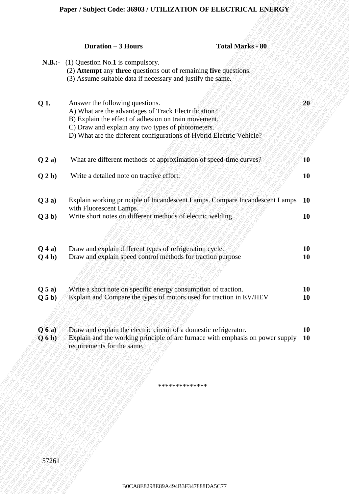## **Paper / Subject Code: 36903 / UTILIZATION OF ELECTRICAL ENERGY**

| <b>N.B.:-</b> (1) Question No.1 is compulsory.<br>(2) Attempt any three questions out of remaining five questions.<br>(3) Assume suitable data if necessary and justify the same.<br>Q 1.<br>20<br>Answer the following questions.<br>A) What are the advantages of Track Electrification?<br>B) Explain the effect of adhesion on train movement.<br>C) Draw and explain any two types of photometers.<br>D) What are the different configurations of Hybrid Electric Vehicle?<br>What are different methods of approximation of speed-time curves?<br>Q2a)<br>10<br>Write a detailed note on tractive effort.<br>Q2b)<br><b>10</b><br>Explain working principle of Incandescent Lamps. Compare Incandescent Lamps<br>Q3a)<br><b>10</b><br>with Fluorescent Lamps.<br>Write short notes on different methods of electric welding.<br>Q3b)<br>10<br>Draw and explain different types of refrigeration cycle.<br>$Q$ 4 a)<br><b>10</b><br>Draw and explain speed control methods for traction purpose<br>$Q_4b)$<br><b>10</b><br>Write a short note on specific energy consumption of traction.<br><b>10</b><br>Q 5 a)<br>Explain and Compare the types of motors used for traction in EV/HEV<br><b>10</b><br>Q 5 b)<br>Draw and explain the electric circuit of a domestic refrigerator.<br>Q(6a)<br>10<br>Explain and the working principle of arc furnace with emphasis on power supply<br>Q(6b)<br><b>10</b><br>requirements for the same.<br>************** |       | <b>Duration - 3 Hours</b><br><b>Total Marks - 80</b> |  |
|-----------------------------------------------------------------------------------------------------------------------------------------------------------------------------------------------------------------------------------------------------------------------------------------------------------------------------------------------------------------------------------------------------------------------------------------------------------------------------------------------------------------------------------------------------------------------------------------------------------------------------------------------------------------------------------------------------------------------------------------------------------------------------------------------------------------------------------------------------------------------------------------------------------------------------------------------------------------------------------------------------------------------------------------------------------------------------------------------------------------------------------------------------------------------------------------------------------------------------------------------------------------------------------------------------------------------------------------------------------------------------------------------------------------------------------------------------------------|-------|------------------------------------------------------|--|
|                                                                                                                                                                                                                                                                                                                                                                                                                                                                                                                                                                                                                                                                                                                                                                                                                                                                                                                                                                                                                                                                                                                                                                                                                                                                                                                                                                                                                                                                 |       |                                                      |  |
|                                                                                                                                                                                                                                                                                                                                                                                                                                                                                                                                                                                                                                                                                                                                                                                                                                                                                                                                                                                                                                                                                                                                                                                                                                                                                                                                                                                                                                                                 |       |                                                      |  |
|                                                                                                                                                                                                                                                                                                                                                                                                                                                                                                                                                                                                                                                                                                                                                                                                                                                                                                                                                                                                                                                                                                                                                                                                                                                                                                                                                                                                                                                                 |       |                                                      |  |
|                                                                                                                                                                                                                                                                                                                                                                                                                                                                                                                                                                                                                                                                                                                                                                                                                                                                                                                                                                                                                                                                                                                                                                                                                                                                                                                                                                                                                                                                 |       |                                                      |  |
|                                                                                                                                                                                                                                                                                                                                                                                                                                                                                                                                                                                                                                                                                                                                                                                                                                                                                                                                                                                                                                                                                                                                                                                                                                                                                                                                                                                                                                                                 |       |                                                      |  |
|                                                                                                                                                                                                                                                                                                                                                                                                                                                                                                                                                                                                                                                                                                                                                                                                                                                                                                                                                                                                                                                                                                                                                                                                                                                                                                                                                                                                                                                                 |       |                                                      |  |
|                                                                                                                                                                                                                                                                                                                                                                                                                                                                                                                                                                                                                                                                                                                                                                                                                                                                                                                                                                                                                                                                                                                                                                                                                                                                                                                                                                                                                                                                 |       |                                                      |  |
|                                                                                                                                                                                                                                                                                                                                                                                                                                                                                                                                                                                                                                                                                                                                                                                                                                                                                                                                                                                                                                                                                                                                                                                                                                                                                                                                                                                                                                                                 |       |                                                      |  |
|                                                                                                                                                                                                                                                                                                                                                                                                                                                                                                                                                                                                                                                                                                                                                                                                                                                                                                                                                                                                                                                                                                                                                                                                                                                                                                                                                                                                                                                                 |       |                                                      |  |
|                                                                                                                                                                                                                                                                                                                                                                                                                                                                                                                                                                                                                                                                                                                                                                                                                                                                                                                                                                                                                                                                                                                                                                                                                                                                                                                                                                                                                                                                 |       |                                                      |  |
|                                                                                                                                                                                                                                                                                                                                                                                                                                                                                                                                                                                                                                                                                                                                                                                                                                                                                                                                                                                                                                                                                                                                                                                                                                                                                                                                                                                                                                                                 |       |                                                      |  |
|                                                                                                                                                                                                                                                                                                                                                                                                                                                                                                                                                                                                                                                                                                                                                                                                                                                                                                                                                                                                                                                                                                                                                                                                                                                                                                                                                                                                                                                                 | 57261 |                                                      |  |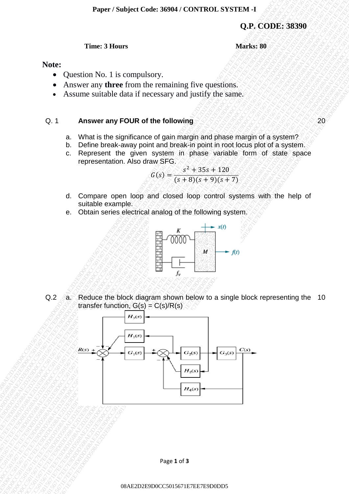**Q.P. CODE: 38390**

#### **Time: 3 Hours Marks: 80**

### **Note:**

- Question No. 1 is compulsory.
- Answer any **three** from the remaining five questions.
- Assume suitable data if necessary and justify the same.

#### Q. 1 **Answer any FOUR of the following** 20

- a. What is the significance of gain margin and phase margin of a system?
- b. Define break-away point and break-in point in root locus plot of a system.
- c. Represent the given system in phase variable form of state space representation. Also draw SFG.

$$
G(s) = \frac{s^2 + 35s + 120}{(s+8)(s+9)(s+7)}
$$

- d. Compare open loop and closed loop control systems with the help of suitable example.
- e. Obtain series electrical analog of the following system.



Q.2 a. Reduce the block diagram shown below to a single block representing the 10 transfer function,  $G(s) = C(s)/R(s)$ 



Page **1** of **3**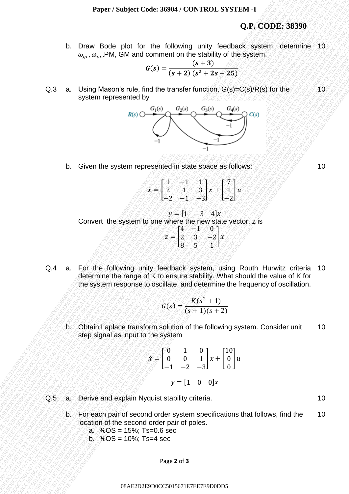## **Q.P. CODE: 38390**

b. Draw Bode plot for the following unity feedback system, determine 10  $\omega_{ac}, \omega_{nc}$ , PM, GM and comment on the stability of the system.

$$
G(s) = \frac{(s+3)}{(s+2)(s^2+2s+25)}
$$

Q.3 a. Using Mason's rule, find the transfer function, G(s)=C(s)/R(s) for the system represented by



b. Given the system represented in state space as follows:

 $\tilde{x} =$  $1 \lesssim 1 \lesssim 1$  $2 \div 3$  $-2$   $-1$   $-3$  $\{x + \}$ 7  $\mathbf 1$ −2  $\mathbb{I} u$ 

 $y = [1 -3 4]x$ Convert the system to one where the new state vector, z is

- $z = 1$  $4^\circ$   $-1$  0  $2 \times 3 \times 2$  $8 \times 5 \otimes 1$  $\mathbf{x}$
- Q.4 a. For the following unity feedback system, using Routh Hurwitz criteria determine the range of K to ensure stability. What should the value of K for the system response to oscillate, and determine the frequency of oscillation. 10

$$
G(s) = \frac{K(s^2 + 1)}{(s+1)(s+2)}
$$

b. Obtain Laplace transform solution of the following system. Consider unit step signal as input to the system 10

$$
\hat{x} = \begin{bmatrix} 0 & 1 & 0 \\ 0 & 0 & 1 \\ -1 & -2 & -3 \end{bmatrix} x + \begin{bmatrix} 10 \\ 0 \\ 0 \end{bmatrix} u
$$

$$
y = \begin{bmatrix} 1 & 0 & 0 \end{bmatrix} x
$$

- Q.5 a. Derive and explain Nyquist stability criteria. The manufacture of the manufacture of the manufacture of the manufacture of the manufacture of the manufacture of the manufacture of the manufacture of the manufacture
	- b. For each pair of second order system specifications that follows, find the location of the second order pair of poles. 10
		- a.  $%OS = 15%$ ; Ts=0.6 sec
		- $b. %$  % OS = 10%; Ts=4 sec

Page **2** of **3**

08AE2D2E9D0CC5015671E7EE7E9D0DD5

10

10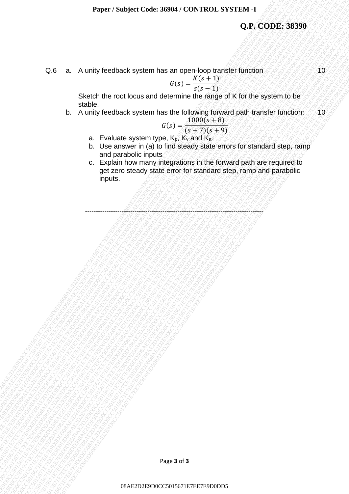## **Q.P. CODE: 38390**

Q.6 a. A unity feedback system has an open-loop transfer function

$$
G(s) = \frac{K(s+1)}{s(s-1)}
$$

Sketch the root locus and determine the range of K for the system to be stable.

b. A unity feedback system has the following forward path transfer function: 10

$$
G(s) = \frac{1000(s+8)}{(s+7)(s+9)}
$$

- a. Evaluate system type,  $K_p$ ,  $K_v$  and  $K_a$ .
- b. Use answer in (a) to find steady state errors for standard step, ramp and parabolic inputs
- Q.P. CODE: 38399<br>
O.8 a. A unity footblack system has an open-toop tursdef function<br>
States the foot box and determine the figure of K for the system to be<br>
by the figure of the material of the particular of the control o Taper Starpet College Stave Street This amplitude College State of College State College State College State College College State College College State College College State College College College College College Colleg Puper / Similard Code: 36984 / CONTROL. SYSTEM 4<br>
Q.P. CODE: 38399<br>
CG 6. A. Minity freedback system has an open-top particle function<br>  $Q(2) = \frac{P(2P+3)}{P(2P+9)}$ <br>
Statistics.<br>
b. Due anywer in (a) to first show that the r Paper / Stokyled Code: 360M / CONTROL, STSTEM 4<br>
Q.P., CODE: 38299<br>
C.C = D. A unity feedback system has an open-loop constant function<br>
State the real code and determine the name of the function<br>
b. A unity feedback syst Paper / Subject Code: 34084 / CONTBCL SYSTEM -1<br>
Q.P. CODE; 38399<br>
C.6 a. A. Vully teedback system has an open-top panel of M.C the system lote<br>  $R = R$  and the result of the system in the energy of the system in the result **Proper / Subject Code: 30904 / CONTROL SYSTEM -1**<br> **O.P. CODE: 38399**<br>
C.E. A. whiley foodback system has an open-loop tunning the function of the system to for<br>
shorthable not not subseque that the explore tunning the s Paper / Studyer Code: 36004 / COVTROL SYSTEM 4<br>
O.J. CODE: 38.999<br>
Stateht the root bound of separation as in collection the root control control for the registered to the registered to the registered to the registered to Paper / Studyer Code: 36004 / COVTROL SYSTEM 4<br>
O.J. CODE: 38.999<br>
Stateht the root bound of separation as in collection the root control control for the registered to the registered to the registered to the registered to Paper / Studyer Code: 36004 / COVTROL SYSTEM 4<br>
O.J. CODE: 38.999<br>
Stateht the root bound of separation as in collection the root control control for the registered to the registered to the registered to the registered to Paper / Studyer Code: 36004 / COVTROL SYSTEM 4<br>
O.J. CODE: 38.999<br>
Stateht the root bound of separation as in collection the root control control for the registered to the registered to the registered to the registered to Paper / Studyer Code: 36004 / COVTROL SYSTEM 4<br>
O.J. CODE: 38.999<br>
Stateht the root bound of separation as in collection the root control control for the registered to the registered to the registered to the registered to Paper / Studyer Code: 36004 / COVTROL SYSTEM 4<br>
O.J. CODE: 38.999<br>
Stateht the root bound of separation as in collection the root control control for the registered to the registered to the registered to the registered to Paper / Subject Code: 30964 / CONTROL SYSTEM 4<br>
O.P. CODE: 38,990<br>
C.B. A. viring testilate, system than an equation familie function<br>
State the record docume and the following part is the system follow<br>
b. A. viring test Paper / Subject Cedit: 36004 / CONTROL SYSTEM -<br>
Q.P. CODE: 38399<br>
C.B. A. Unity feedback system has an open-sop fundatie function<br>
Satelly the foot locus and determine the independence function<br>
b. A. Unity feedback syst Paper / Subject Cede: 36094 / CONTROL SYSTEM -<br>
Q.P. CODE: 38390<br>
O.6 a. A unity footback system has an excel-loop transfer function<br>  $\frac{z(z) = \frac{E(z + 1)}{2}}{z(0.015 - 1.8)}$ <br>
Subth the root locus and determine the range of K Paper / Saujerd Code: 360941 CONTROL SYSTEM -1<br>
017. CODE: 38396<br>
0.6 a. A unity footback system has an experimente per particular function: 10<br>
Shack the recoll count and difference the filing for K for the system to be<br> Paper / Natijaet Craix: 36994 / CONTROL, SYSTEM 4<br>
Q.P. CODE: 38.399<br>
C.B. A. unity feedback system has an exon-loop transfer function<br>
Shorth the root boos and distormine the recogning rank transfer function<br>
b. A. unity Paper / Stanjard Chies. 36964 / CONTROL SYSTEM 4<br>
Q.P., CODES. 38390<br>
C.B. a. A unity footback system has an uper-loop fractisf function<br>
States the note footback system has the function<br>
b. States of the note for the con **Paper / Similyiet Code: 36964 / COVITROI. SYSTEM 4**<br> **O.F. CODE: 38390**<br>
O.E. A unity foodback system has an equation function function function<br>
Shealan The root locus and determine the minge of K for the eyestem to be<br> Paper / Soubject Code: 36964 / CONTROL SYSTEM -I<br>
Q.P., CODE: 38396<br>
Q.B. a. A unity footback system has an open-loop transfer function<br>
Studie the root local and the colour paper in the forest of paper in transfer<br>
L.B. c. Explain how many integrations in the forward path are required to get zero steady state error for standard step, ramp and parabolic inputs.

-----------------------------------------------------------------------------------

10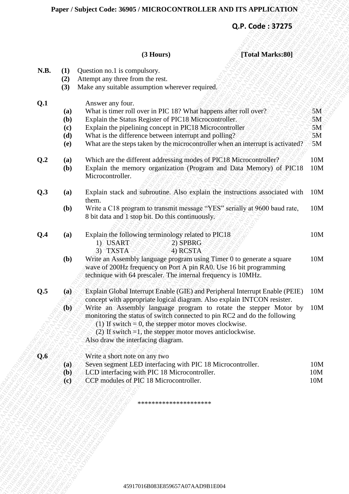# **Q.P. Code : 37275**

# **(3 Hours) [Total Marks:80]**

|      |                                    | Paper / Subject Code: 36905 / MICROCONTROLLER AND ITS APPLICATION                                                                                                                                           |            |
|------|------------------------------------|-------------------------------------------------------------------------------------------------------------------------------------------------------------------------------------------------------------|------------|
|      |                                    | Q.P. Code: 37275                                                                                                                                                                                            |            |
|      |                                    | (3 Hours)<br>[Total Marks:80]                                                                                                                                                                               |            |
| N.B. | (1)<br>(2)<br>(3)                  | Question no.1 is compulsory.<br>Attempt any three from the rest.<br>Make any suitable assumption wherever required.                                                                                         |            |
| Q.1  |                                    | Answer any four.                                                                                                                                                                                            |            |
|      | (a)                                | What is timer roll over in PIC 18? What happens after roll over?                                                                                                                                            | 5M         |
|      | (b)<br>(c)                         | Explain the Status Register of PIC18 Microcontroller.<br>Explain the pipelining concept in PIC18 Microcontroller                                                                                            | 5M<br>5M   |
|      | (d)                                | What is the difference between interrupt and polling?                                                                                                                                                       | 5M         |
|      | <b>(e)</b>                         | What are the steps taken by the microcontroller when an interrupt is activated?                                                                                                                             | 5M         |
| Q.2  | (a)                                | Which are the different addressing modes of PIC18 Microcontroller?                                                                                                                                          | 10M        |
|      | (b)                                | Explain the memory organization (Program and Data Memory) of PIC18<br>Microcontroller.                                                                                                                      | 10M        |
| Q.3  | (a)                                | Explain stack and subroutine. Also explain the instructions associated with<br>them.                                                                                                                        | 10M        |
|      | <b>(b)</b>                         | Write a C18 program to transmit message "YES" serially at 9600 baud rate,<br>8 bit data and 1 stop bit. Do this continuously.                                                                               | 10M        |
| Q.4  | (a)                                | Explain the following terminology related to PIC18<br>1) USART<br>2) SPBRG                                                                                                                                  | 10M        |
|      |                                    | 3) TXSTA<br>4) RCSTA                                                                                                                                                                                        |            |
|      | (b)                                | Write an Assembly language program using Timer 0 to generate a square<br>wave of 200Hz frequency on Port A pin RA0. Use 16 bit programming<br>technique with 64 prescaler. The internal frequency is 10MHz. | 10M        |
| Q.5  | (a)                                | Explain Global Interrupt Enable (GIE) and Peripheral Interrupt Enable (PEIE)<br>concept with appropriate logical diagram. Also explain INTCON resister.                                                     | 10M        |
|      | (b)                                | Write an Assembly language program to rotate the stepper Motor by                                                                                                                                           | 10M        |
|      |                                    | monitoring the status of switch connected to pin RC2 and do the following                                                                                                                                   |            |
|      |                                    | (1) If switch $= 0$ , the stepper motor moves clockwise.<br>(2) If switch $=1$ , the stepper motor moves anticlockwise.                                                                                     |            |
|      |                                    | Also draw the interfacing diagram.                                                                                                                                                                          |            |
| Q.6  |                                    | Write a short note on any two                                                                                                                                                                               |            |
|      | (a)                                | Seven segment LED interfacing with PIC 18 Microcontroller.                                                                                                                                                  | 10M        |
|      | (b)<br>$\left( \mathbf{c} \right)$ | LCD interfacing with PIC 18 Microcontroller.<br>CCP modules of PIC 18 Microcontroller.                                                                                                                      | 10M<br>10M |
|      |                                    | *********************                                                                                                                                                                                       |            |
|      |                                    |                                                                                                                                                                                                             |            |
|      |                                    |                                                                                                                                                                                                             |            |
|      |                                    |                                                                                                                                                                                                             |            |
|      |                                    |                                                                                                                                                                                                             |            |
|      |                                    |                                                                                                                                                                                                             |            |
|      |                                    |                                                                                                                                                                                                             |            |
|      |                                    | 45917016B083E859657A07AAD9B1E004                                                                                                                                                                            |            |